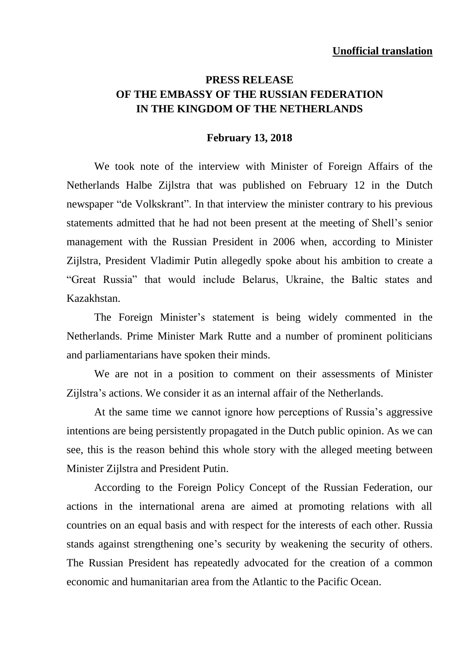## **PRESS RELEASE OF THE EMBASSY OF THE RUSSIAN FEDERATION IN THE KINGDOM OF THE NETHERLANDS**

## **February 13, 2018**

We took note of the interview with Minister of Foreign Affairs of the Netherlands Halbe Zijlstra that was published on February 12 in the Dutch newspaper "de Volkskrant". In that interview the minister contrary to his previous statements admitted that he had not been present at the meeting of Shell's senior management with the Russian President in 2006 when, according to Minister Zijlstra, President Vladimir Putin allegedly spoke about his ambition to create a "Great Russia" that would include Belarus, Ukraine, the Baltic states and Kazakhstan.

The Foreign Minister's statement is being widely commented in the Netherlands. Prime Minister Mark Rutte and a number of prominent politicians and parliamentarians have spoken their minds.

We are not in a position to comment on their assessments of Minister Zijlstra's actions. We consider it as an internal affair of the Netherlands.

At the same time we cannot ignore how perceptions of Russia's aggressive intentions are being persistently propagated in the Dutch public opinion. As we can see, this is the reason behind this whole story with the alleged meeting between Minister Zijlstra and President Putin.

According to the Foreign Policy Concept of the Russian Federation, our actions in the international arena are aimed at promoting relations with all countries on an equal basis and with respect for the interests of each other. Russia stands against strengthening one's security by weakening the security of others. The Russian President has repeatedly advocated for the creation of a common economic and humanitarian area from the Atlantic to the Pacific Ocean.